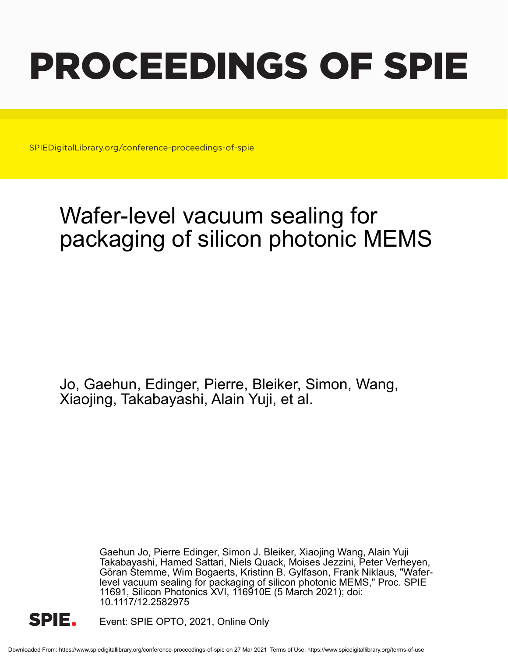# PROCEEDINGS OF SPIE

SPIEDigitalLibrary.org/conference-proceedings-of-spie

# Wafer-level vacuum sealing for packaging of silicon photonic MEMS

Jo, Gaehun, Edinger, Pierre, Bleiker, Simon, Wang, Xiaojing, Takabayashi, Alain Yuji, et al.

> Gaehun Jo, Pierre Edinger, Simon J. Bleiker, Xiaojing Wang, Alain Yuji Takabayashi, Hamed Sattari, Niels Quack, Moises Jezzini, Peter Verheyen, Göran Stemme, Wim Bogaerts, Kristinn B. Gylfason, Frank Niklaus, "Waferlevel vacuum sealing for packaging of silicon photonic MEMS," Proc. SPIE 11691, Silicon Photonics XVI, 116910E (5 March 2021); doi: 10.1117/12.2582975



Event: SPIE OPTO, 2021, Online Only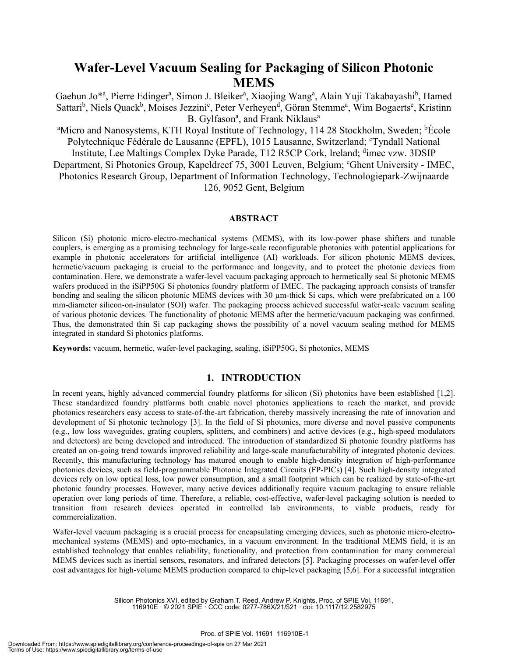# **Wafer-Level Vacuum Sealing for Packaging of Silicon Photonic MEMS**

Gaehun Jo\*ª, Pierre Edingerª, Simon J. Bleikerª, Xiaojing Wangª, Alain Yuji Takabayashi<sup>b</sup>, Hamed Sattari<sup>b</sup>, Niels Quack<sup>b</sup>, Moises Jezzini<sup>c</sup>, Peter Verheyen<sup>d</sup>, Göran Stemme<sup>a</sup>, Wim Bogaerts<sup>e</sup>, Kristinn B. Gylfason<sup>a</sup>, and Frank Niklaus<sup>a</sup>

<sup>a</sup>Micro and Nanosystems, KTH Royal Institute of Technology, 114 28 Stockholm, Sweden; <sup>b</sup>École Polytechnique Fédérale de Lausanne (EPFL), 1015 Lausanne, Switzerland; 'Tyndall National Institute, Lee Maltings Complex Dyke Parade, T12 R5CP Cork, Ireland; dimec vzw. 3DSIP Department, Si Photonics Group, Kapeldreef 75, 3001 Leuven, Belgium; <sup>e</sup>Ghent University - IMEC, Photonics Research Group, Department of Information Technology, Technologiepark-Zwijnaarde 126, 9052 Gent, Belgium

#### **ABSTRACT**

Silicon (Si) photonic micro-electro-mechanical systems (MEMS), with its low-power phase shifters and tunable couplers, is emerging as a promising technology for large-scale reconfigurable photonics with potential applications for example in photonic accelerators for artificial intelligence (AI) workloads. For silicon photonic MEMS devices, hermetic/vacuum packaging is crucial to the performance and longevity, and to protect the photonic devices from contamination. Here, we demonstrate a wafer-level vacuum packaging approach to hermetically seal Si photonic MEMS wafers produced in the iSiPP50G Si photonics foundry platform of IMEC. The packaging approach consists of transfer bonding and sealing the silicon photonic MEMS devices with 30  $\mu$ m-thick Si caps, which were prefabricated on a 100 mm-diameter silicon-on-insulator (SOI) wafer. The packaging process achieved successful wafer-scale vacuum sealing of various photonic devices. The functionality of photonic MEMS after the hermetic/vacuum packaging was confirmed. Thus, the demonstrated thin Si cap packaging shows the possibility of a novel vacuum sealing method for MEMS integrated in standard Si photonics platforms.

**Keywords:** vacuum, hermetic, wafer-level packaging, sealing, iSiPP50G, Si photonics, MEMS

#### **1. INTRODUCTION**

In recent years, highly advanced commercial foundry platforms for silicon (Si) photonics have been established [1,2]. These standardized foundry platforms both enable novel photonics applications to reach the market, and provide photonics researchers easy access to state-of-the-art fabrication, thereby massively increasing the rate of innovation and development of Si photonic technology [3]. In the field of Si photonics, more diverse and novel passive components (e.g., low loss waveguides, grating couplers, splitters, and combiners) and active devices (e.g., high-speed modulators and detectors) are being developed and introduced. The introduction of standardized Si photonic foundry platforms has created an on-going trend towards improved reliability and large-scale manufacturability of integrated photonic devices. Recently, this manufacturing technology has matured enough to enable high-density integration of high-performance photonics devices, such as field-programmable Photonic Integrated Circuits (FP-PICs) [4]. Such high-density integrated devices rely on low optical loss, low power consumption, and a small footprint which can be realized by state-of-the-art photonic foundry processes. However, many active devices additionally require vacuum packaging to ensure reliable operation over long periods of time. Therefore, a reliable, cost-effective, wafer-level packaging solution is needed to transition from research devices operated in controlled lab environments, to viable products, ready for commercialization.

Wafer-level vacuum packaging is a crucial process for encapsulating emerging devices, such as photonic micro-electromechanical systems (MEMS) and opto-mechanics, in a vacuum environment. In the traditional MEMS field, it is an established technology that enables reliability, functionality, and protection from contamination for many commercial MEMS devices such as inertial sensors, resonators, and infrared detectors [5]. Packaging processes on wafer-level offer cost advantages for high-volume MEMS production compared to chip-level packaging [5,6]. For a successful integration

> Silicon Photonics XVI, edited by Graham T. Reed, Andrew P. Knights, Proc. of SPIE Vol. 11691, 116910E · © 2021 SPIE · CCC code: 0277-786X/21/\$21 · doi: 10.1117/12.2582975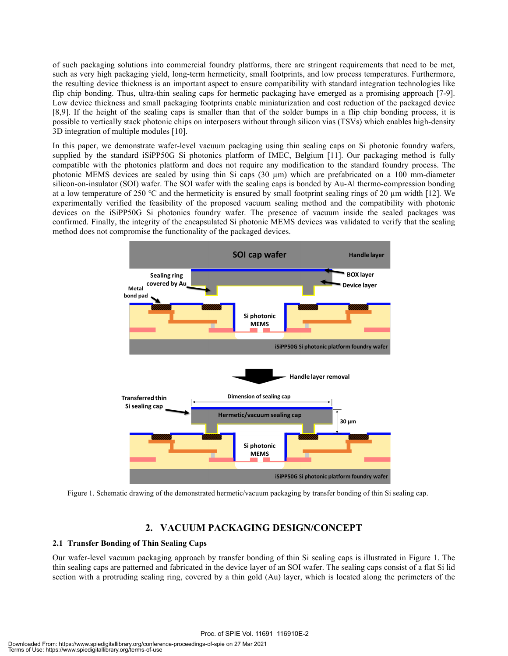of such packaging solutions into commercial foundry platforms, there are stringent requirements that need to be met, such as very high packaging yield, long-term hermeticity, small footprints, and low process temperatures. Furthermore, the resulting device thickness is an important aspect to ensure compatibility with standard integration technologies like flip chip bonding. Thus, ultra-thin sealing caps for hermetic packaging have emerged as a promising approach [7-9]. Low device thickness and small packaging footprints enable miniaturization and cost reduction of the packaged device [8,9]. If the height of the sealing caps is smaller than that of the solder bumps in a flip chip bonding process, it is possible to vertically stack photonic chips on interposers without through silicon vias (TSVs) which enables high-density 3D integration of multiple modules [10].

In this paper, we demonstrate wafer-level vacuum packaging using thin sealing caps on Si photonic foundry wafers, supplied by the standard iSiPP50G Si photonics platform of IMEC, Belgium [11]. Our packaging method is fully compatible with the photonics platform and does not require any modification to the standard foundry process. The photonic MEMS devices are sealed by using thin Si caps (30 µm) which are prefabricated on a 100 mm-diameter silicon-on-insulator (SOI) wafer. The SOI wafer with the sealing caps is bonded by Au-Al thermo-compression bonding at a low temperature of 250 °C and the hermeticity is ensured by small footprint sealing rings of 20  $\mu$ m width [12]. We experimentally verified the feasibility of the proposed vacuum sealing method and the compatibility with photonic devices on the iSiPP50G Si photonics foundry wafer. The presence of vacuum inside the sealed packages was confirmed. Finally, the integrity of the encapsulated Si photonic MEMS devices was validated to verify that the sealing method does not compromise the functionality of the packaged devices.



Figure 1. Schematic drawing of the demonstrated hermetic/vacuum packaging by transfer bonding of thin Si sealing cap.

### **2. VACUUM PACKAGING DESIGN/CONCEPT**

#### **2.1 Transfer Bonding of Thin Sealing Caps**

Our wafer-level vacuum packaging approach by transfer bonding of thin Si sealing caps is illustrated in Figure 1. The thin sealing caps are patterned and fabricated in the device layer of an SOI wafer. The sealing caps consist of a flat Si lid section with a protruding sealing ring, covered by a thin gold (Au) layer, which is located along the perimeters of the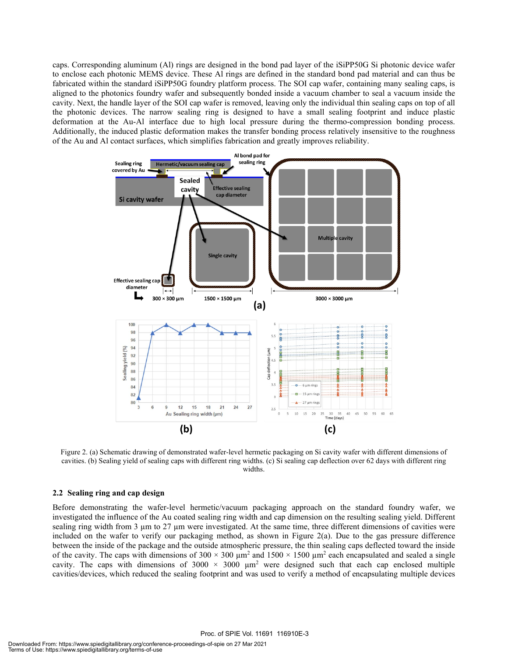caps. Corresponding aluminum (Al) rings are designed in the bond pad layer of the iSiPP50G Si photonic device wafer to enclose each photonic MEMS device. These Al rings are defined in the standard bond pad material and can thus be fabricated within the standard iSiPP50G foundry platform process. The SOI cap wafer, containing many sealing caps, is aligned to the photonics foundry wafer and subsequently bonded inside a vacuum chamber to seal a vacuum inside the cavity. Next, the handle layer of the SOI cap wafer is removed, leaving only the individual thin sealing caps on top of all the photonic devices. The narrow sealing ring is designed to have a small sealing footprint and induce plastic deformation at the Au-Al interface due to high local pressure during the thermo-compression bonding process. Additionally, the induced plastic deformation makes the transfer bonding process relatively insensitive to the roughness of the Au and Al contact surfaces, which simplifies fabrication and greatly improves reliability.



Figure 2. (a) Schematic drawing of demonstrated wafer-level hermetic packaging on Si cavity wafer with different dimensions of cavities. (b) Sealing yield of sealing caps with different ring widths. (c) Si sealing cap deflection over 62 days with different ring widths.

#### **2.2 Sealing ring and cap design**

Before demonstrating the wafer-level hermetic/vacuum packaging approach on the standard foundry wafer, we investigated the influence of the Au coated sealing ring width and cap dimension on the resulting sealing yield. Different sealing ring width from 3  $\mu$ m to 27  $\mu$ m were investigated. At the same time, three different dimensions of cavities were included on the wafer to verify our packaging method, as shown in Figure 2(a). Due to the gas pressure difference between the inside of the package and the outside atmospheric pressure, the thin sealing caps deflected toward the inside of the cavity. The caps with dimensions of  $300 \times 300 \mu m^2$  and  $1500 \times 1500 \mu m^2$  each encapsulated and sealed a single cavity. The caps with dimensions of  $3000 \times 3000 \mu m^2$  were designed such that each cap enclosed multiple cavities/devices, which reduced the sealing footprint and was used to verify a method of encapsulating multiple devices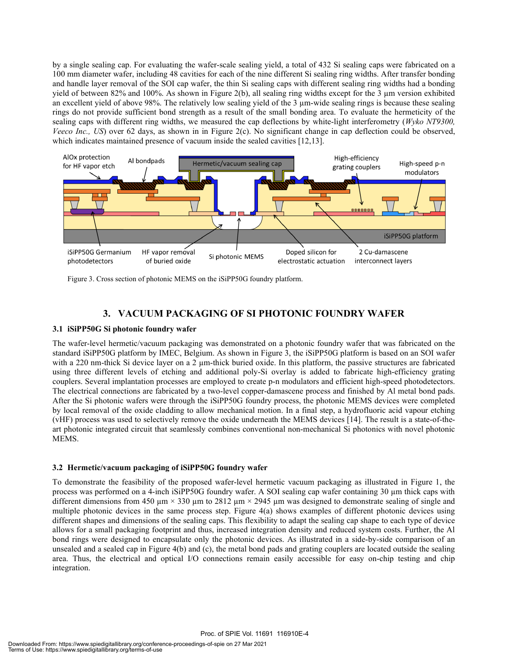by a single sealing cap. For evaluating the wafer-scale sealing yield, a total of 432 Si sealing caps were fabricated on a 100 mm diameter wafer, including 48 cavities for each of the nine different Si sealing ring widths. After transfer bonding and handle layer removal of the SOI cap wafer, the thin Si sealing caps with different sealing ring widths had a bonding yield of between 82% and 100%. As shown in Figure 2(b), all sealing ring widths except for the 3 µm version exhibited an excellent yield of above 98%. The relatively low sealing yield of the 3 µm-wide sealing rings is because these sealing rings do not provide sufficient bond strength as a result of the small bonding area. To evaluate the hermeticity of the sealing caps with different ring widths, we measured the cap deflections by white-light interferometry (*Wyko NT9300, Veeco Inc., US*) over 62 days, as shown in in Figure 2(c). No significant change in cap deflection could be observed, which indicates maintained presence of vacuum inside the sealed cavities [12,13].



Figure 3. Cross section of photonic MEMS on the iSiPP50G foundry platform.

## **3. VACUUM PACKAGING OF SI PHOTONIC FOUNDRY WAFER**

#### **3.1 iSiPP50G Si photonic foundry wafer**

The wafer-level hermetic/vacuum packaging was demonstrated on a photonic foundry wafer that was fabricated on the standard iSiPP50G platform by IMEC, Belgium. As shown in Figure 3, the iSiPP50G platform is based on an SOI wafer with a 220 nm-thick Si device layer on a 2  $\mu$ m-thick buried oxide. In this platform, the passive structures are fabricated using three different levels of etching and additional poly-Si overlay is added to fabricate high-efficiency grating couplers. Several implantation processes are employed to create p-n modulators and efficient high-speed photodetectors. The electrical connections are fabricated by a two-level copper-damascene process and finished by Al metal bond pads. After the Si photonic wafers were through the iSiPP50G foundry process, the photonic MEMS devices were completed by local removal of the oxide cladding to allow mechanical motion. In a final step, a hydrofluoric acid vapour etching (vHF) process was used to selectively remove the oxide underneath the MEMS devices [14]. The result is a state-of-theart photonic integrated circuit that seamlessly combines conventional non-mechanical Si photonics with novel photonic MEMS.

#### **3.2 Hermetic/vacuum packaging of iSiPP50G foundry wafer**

To demonstrate the feasibility of the proposed wafer-level hermetic vacuum packaging as illustrated in Figure 1, the process was performed on a 4-inch iSiPP50G foundry wafer. A SOI sealing cap wafer containing 30 µm thick caps with different dimensions from 450  $\mu$ m  $\times$  330  $\mu$ m to 2812  $\mu$ m  $\times$  2945  $\mu$ m was designed to demonstrate sealing of single and multiple photonic devices in the same process step. Figure 4(a) shows examples of different photonic devices using different shapes and dimensions of the sealing caps. This flexibility to adapt the sealing cap shape to each type of device allows for a small packaging footprint and thus, increased integration density and reduced system costs. Further, the Al bond rings were designed to encapsulate only the photonic devices. As illustrated in a side-by-side comparison of an unsealed and a sealed cap in Figure 4(b) and (c), the metal bond pads and grating couplers are located outside the sealing area. Thus, the electrical and optical I/O connections remain easily accessible for easy on-chip testing and chip integration.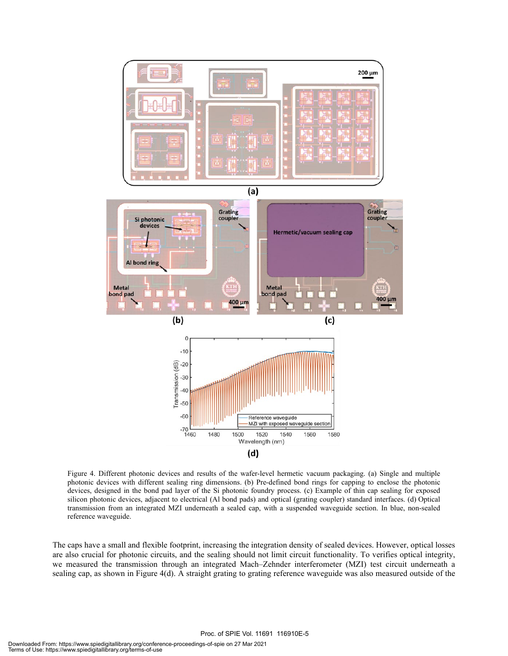

Figure 4. Different photonic devices and results of the wafer-level hermetic vacuum packaging. (a) Single and multiple photonic devices with different sealing ring dimensions. (b) Pre-defined bond rings for capping to enclose the photonic devices, designed in the bond pad layer of the Si photonic foundry process. (c) Example of thin cap sealing for exposed silicon photonic devices, adjacent to electrical (Al bond pads) and optical (grating coupler) standard interfaces. (d) Optical transmission from an integrated MZI underneath a sealed cap, with a suspended waveguide section. In blue, non-sealed reference waveguide.

The caps have a small and flexible footprint, increasing the integration density of sealed devices. However, optical losses are also crucial for photonic circuits, and the sealing should not limit circuit functionality. To verifies optical integrity, we measured the transmission through an integrated Mach–Zehnder interferometer (MZI) test circuit underneath a sealing cap, as shown in Figure 4(d). A straight grating to grating reference waveguide was also measured outside of the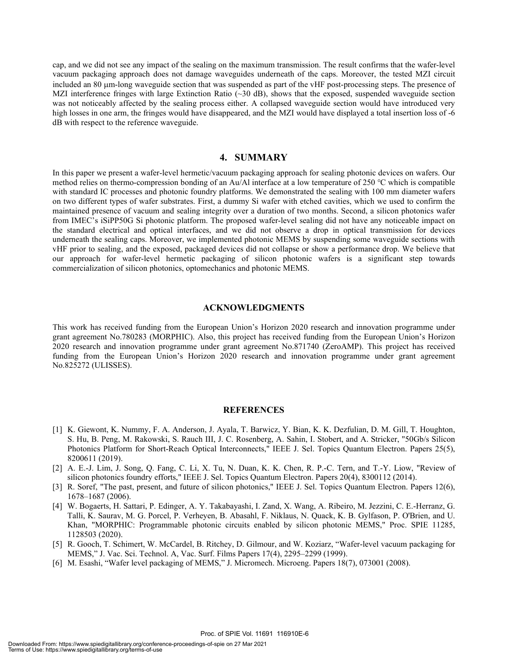cap, and we did not see any impact of the sealing on the maximum transmission. The result confirms that the wafer-level vacuum packaging approach does not damage waveguides underneath of the caps. Moreover, the tested MZI circuit included an 80 µm-long waveguide section that was suspended as part of the vHF post-processing steps. The presence of MZI interference fringes with large Extinction Ratio  $(\sim 30 \text{ dB})$ , shows that the exposed, suspended waveguide section was not noticeably affected by the sealing process either. A collapsed waveguide section would have introduced very high losses in one arm, the fringes would have disappeared, and the MZI would have displayed a total insertion loss of -6 dB with respect to the reference waveguide.

#### **4. SUMMARY**

In this paper we present a wafer-level hermetic/vacuum packaging approach for sealing photonic devices on wafers. Our method relies on thermo-compression bonding of an Au/Al interface at a low temperature of 250 ℃ which is compatible with standard IC processes and photonic foundry platforms. We demonstrated the sealing with 100 mm diameter wafers on two different types of wafer substrates. First, a dummy Si wafer with etched cavities, which we used to confirm the maintained presence of vacuum and sealing integrity over a duration of two months. Second, a silicon photonics wafer from IMEC's iSiPP50G Si photonic platform. The proposed wafer-level sealing did not have any noticeable impact on the standard electrical and optical interfaces, and we did not observe a drop in optical transmission for devices underneath the sealing caps. Moreover, we implemented photonic MEMS by suspending some waveguide sections with vHF prior to sealing, and the exposed, packaged devices did not collapse or show a performance drop. We believe that our approach for wafer-level hermetic packaging of silicon photonic wafers is a significant step towards commercialization of silicon photonics, optomechanics and photonic MEMS.

#### **ACKNOWLEDGMENTS**

This work has received funding from the European Union's Horizon 2020 research and innovation programme under grant agreement No.780283 (MORPHIC). Also, this project has received funding from the European Union's Horizon 2020 research and innovation programme under grant agreement No.871740 (ZeroAMP). This project has received funding from the European Union's Horizon 2020 research and innovation programme under grant agreement No.825272 (ULISSES).

#### **REFERENCES**

- [1] K. Giewont, K. Nummy, F. A. Anderson, J. Ayala, T. Barwicz, Y. Bian, K. K. Dezfulian, D. M. Gill, T. Houghton, S. Hu, B. Peng, M. Rakowski, S. Rauch III, J. C. Rosenberg, A. Sahin, I. Stobert, and A. Stricker, "50Gb/s Silicon Photonics Platform for Short-Reach Optical Interconnects," IEEE J. Sel. Topics Quantum Electron. Papers 25(5), 8200611 (2019).
- [2] A. E.-J. Lim, J. Song, Q. Fang, C. Li, X. Tu, N. Duan, K. K. Chen, R. P.-C. Tern, and T.-Y. Liow, "Review of silicon photonics foundry efforts," IEEE J. Sel. Topics Quantum Electron. Papers 20(4), 8300112 (2014).
- [3] R. Soref, "The past, present, and future of silicon photonics," IEEE J. Sel. Topics Quantum Electron. Papers 12(6), 1678–1687 (2006).
- [4] W. Bogaerts, H. Sattari, P. Edinger, A. Y. Takabayashi, I. Zand, X. Wang, A. Ribeiro, M. Jezzini, C. E.-Herranz, G. Talli, K. Saurav, M. G. Porcel, P. Verheyen, B. Abasahl, F. Niklaus, N. Quack, K. B. Gylfason, P. O'Brien, and U. Khan, "MORPHIC: Programmable photonic circuits enabled by silicon photonic MEMS," Proc. SPIE 11285, 1128503 (2020).
- [5] R. Gooch, T. Schimert, W. McCardel, B. Ritchey, D. Gilmour, and W. Koziarz, "Wafer-level vacuum packaging for MEMS," J. Vac. Sci. Technol. A, Vac. Surf. Films Papers 17(4), 2295–2299 (1999).
- [6] M. Esashi, "Wafer level packaging of MEMS," J. Micromech. Microeng. Papers 18(7), 073001 (2008).